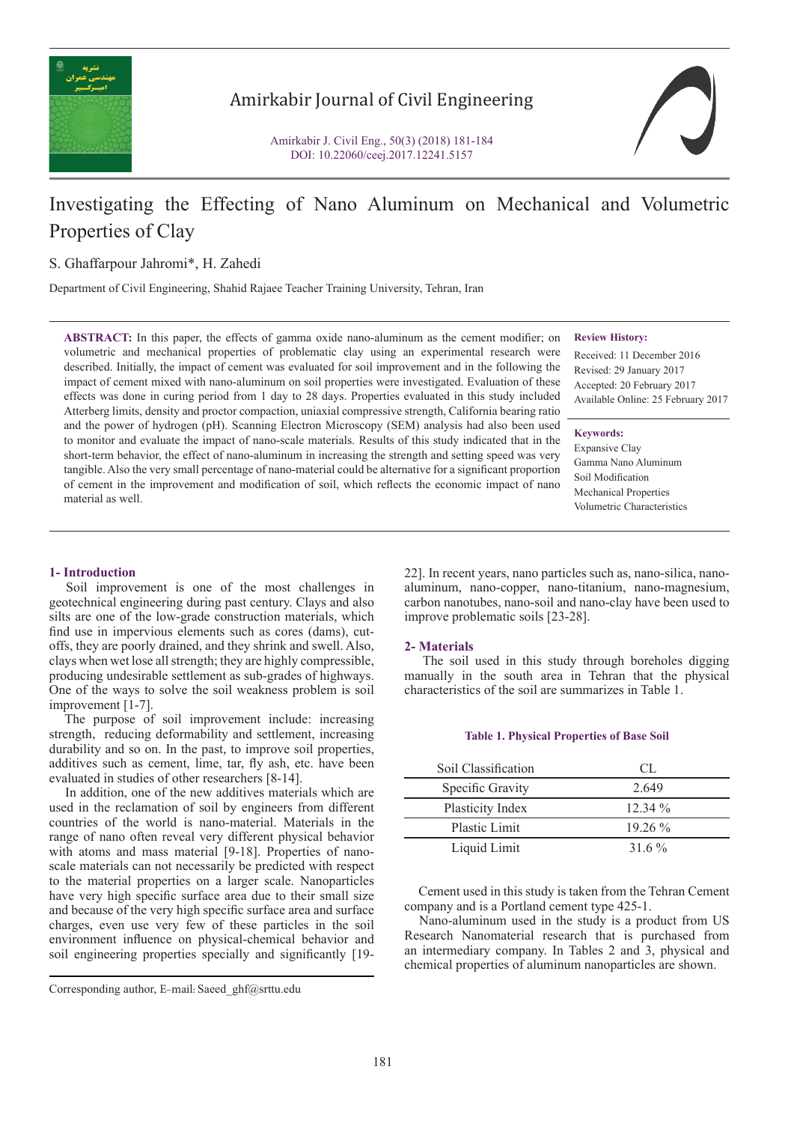

# Amirkabir Journal of Civil Engineering

Amirkabir J. Civil Eng., 50(3) (2018) 181-184 DOI: 10.22060/ceej.2017.12241.5157



# Investigating the Effecting of Nano Aluminum on Mechanical and Volumetric Properties of Clay

S. Ghaffarpour Jahromi\*, H. Zahedi

Department of Civil Engineering, Shahid Rajaee Teacher Training University, Tehran, Iran

**ABSTRACT:** In this paper, the effects of gamma oxide nano-aluminum as the cement modifier; on volumetric and mechanical properties of problematic clay using an experimental research were described. Initially, the impact of cement was evaluated for soil improvement and in the following the impact of cement mixed with nano-aluminum on soil properties were investigated. Evaluation of these effects was done in curing period from 1 day to 28 days. Properties evaluated in this study included Atterberg limits, density and proctor compaction, uniaxial compressive strength, California bearing ratio and the power of hydrogen (pH). Scanning Electron Microscopy (SEM) analysis had also been used to monitor and evaluate the impact of nano-scale materials. Results of this study indicated that in the short-term behavior, the effect of nano-aluminum in increasing the strength and setting speed was very tangible. Also the very small percentage of nano-material could be alternative for a significant proportion of cement in the improvement and modification of soil, which reflects the economic impact of nano material as well.

#### **Review History:**

Received: 11 December 2016 Revised: 29 January 2017 Accepted: 20 February 2017 Available Online: 25 February 2017

### **Keywords:**

Expansive Clay Gamma Nano Aluminum Soil Modification Mechanical Properties Volumetric Characteristics

# **1- Introduction**

 Soil improvement is one of the most challenges in geotechnical engineering during past century. Clays and also silts are one of the low-grade construction materials, which find use in impervious elements such as cores (dams), cutoffs, they are poorly drained, and they shrink and swell. Also, clays when wet lose all strength; they are highly compressible, producing undesirable settlement as sub-grades of highways. One of the ways to solve the soil weakness problem is soil improvement [1-7].

 The purpose of soil improvement include: increasing strength, reducing deformability and settlement, increasing durability and so on. In the past, to improve soil properties, additives such as cement, lime, tar, fly ash, etc. have been evaluated in studies of other researchers [8-14].

 In addition, one of the new additives materials which are used in the reclamation of soil by engineers from different countries of the world is nano-material. Materials in the range of nano often reveal very different physical behavior with atoms and mass material [9-18]. Properties of nanoscale materials can not necessarily be predicted with respect to the material properties on a larger scale. Nanoparticles have very high specific surface area due to their small size and because of the very high specific surface area and surface charges, even use very few of these particles in the soil environment influence on physical-chemical behavior and soil engineering properties specially and significantly [19-

Corresponding author, E-mail: Saeed\_ghf@srttu.edu

22]. In recent years, nano particles such as, nano-silica, nanoaluminum, nano-copper, nano-titanium, nano-magnesium, carbon nanotubes, nano-soil and nano-clay have been used to improve problematic soils [23-28].

#### **2- Materials**

 The soil used in this study through boreholes digging manually in the south area in Tehran that the physical characteristics of the soil are summarizes in Table 1.

#### **Table 1. Physical Properties of Base Soil**

| Soil Classification  | CL.       |
|----------------------|-----------|
| Specific Gravity     | 2.649     |
| Plasticity Index     | $12.34\%$ |
| <b>Plastic Limit</b> | $1926\%$  |
| Liquid Limit         | 31.6 $\%$ |

 Cement used in this study is taken from the Tehran Cement company and is a Portland cement type 425-1.

 Nano-aluminum used in the study is a product from US Research Nanomaterial research that is purchased from an intermediary company. In Tables 2 and 3, physical and chemical properties of aluminum nanoparticles are shown.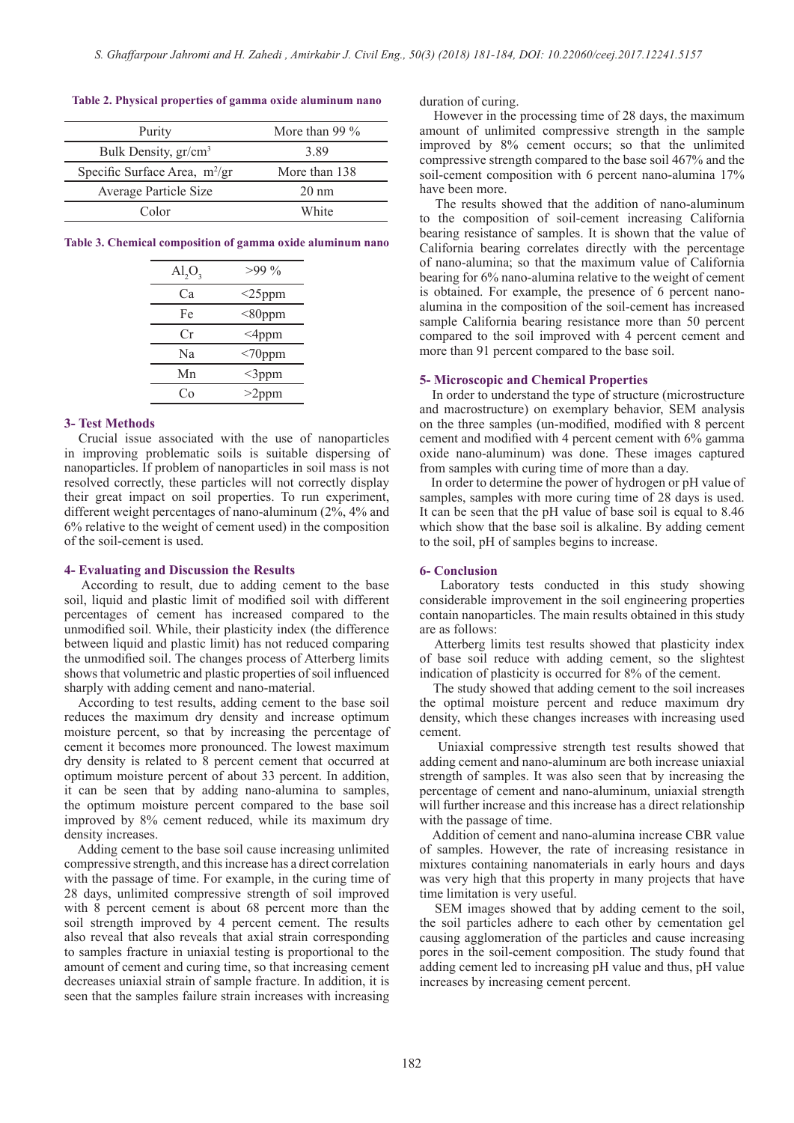## **Table 2. Physical properties of gamma oxide aluminum nano**

| Purity                           | More than 99 $\%$ |
|----------------------------------|-------------------|
| Bulk Density, gr/cm <sup>3</sup> | 3.89              |
| Specific Surface Area, $m^2/gr$  | More than 138     |
| Average Particle Size            | $20 \text{ nm}$   |
| Color                            | White             |

**Table 3. Chemical composition of gamma oxide aluminum nano**

| $\text{Al}_2\text{O}_3$ | $>99\%$   |
|-------------------------|-----------|
| Ca                      | $<$ 25ppm |
| Fe                      | $<$ 80ppm |
| Сr                      | $<$ 4ppm  |
| Na                      | $<70$ ppm |
| Mn                      | $<$ 3ppm  |
|                         | $>2$ ppm  |

# **3- Test Methods**

 Crucial issue associated with the use of nanoparticles in improving problematic soils is suitable dispersing of nanoparticles. If problem of nanoparticles in soil mass is not resolved correctly, these particles will not correctly display their great impact on soil properties. To run experiment, different weight percentages of nano-aluminum (2%, 4% and 6% relative to the weight of cement used) in the composition of the soil-cement is used.

#### **4- Evaluating and Discussion the Results**

 According to result, due to adding cement to the base soil, liquid and plastic limit of modified soil with different percentages of cement has increased compared to the unmodified soil. While, their plasticity index (the difference between liquid and plastic limit) has not reduced comparing the unmodified soil. The changes process of Atterberg limits shows that volumetric and plastic properties of soil influenced sharply with adding cement and nano-material.

 According to test results, adding cement to the base soil reduces the maximum dry density and increase optimum moisture percent, so that by increasing the percentage of cement it becomes more pronounced. The lowest maximum dry density is related to 8 percent cement that occurred at optimum moisture percent of about 33 percent. In addition, it can be seen that by adding nano-alumina to samples, the optimum moisture percent compared to the base soil improved by 8% cement reduced, while its maximum dry density increases.

 Adding cement to the base soil cause increasing unlimited compressive strength, and this increase has a direct correlation with the passage of time. For example, in the curing time of 28 days, unlimited compressive strength of soil improved with 8 percent cement is about 68 percent more than the soil strength improved by 4 percent cement. The results also reveal that also reveals that axial strain corresponding to samples fracture in uniaxial testing is proportional to the amount of cement and curing time, so that increasing cement decreases uniaxial strain of sample fracture. In addition, it is seen that the samples failure strain increases with increasing duration of curing.

 However in the processing time of 28 days, the maximum amount of unlimited compressive strength in the sample improved by 8% cement occurs; so that the unlimited compressive strength compared to the base soil 467% and the soil-cement composition with 6 percent nano-alumina 17% have been more.

 The results showed that the addition of nano-aluminum to the composition of soil-cement increasing California bearing resistance of samples. It is shown that the value of California bearing correlates directly with the percentage of nano-alumina; so that the maximum value of California bearing for 6% nano-alumina relative to the weight of cement is obtained. For example, the presence of 6 percent nanoalumina in the composition of the soil-cement has increased sample California bearing resistance more than 50 percent compared to the soil improved with 4 percent cement and more than 91 percent compared to the base soil.

# **5- Microscopic and Chemical Properties**

 In order to understand the type of structure (microstructure and macrostructure) on exemplary behavior, SEM analysis on the three samples (un-modified, modified with 8 percent cement and modified with 4 percent cement with 6% gamma oxide nano-aluminum) was done. These images captured from samples with curing time of more than a day.

 In order to determine the power of hydrogen or pH value of samples, samples with more curing time of 28 days is used. It can be seen that the pH value of base soil is equal to 8.46 which show that the base soil is alkaline. By adding cement to the soil, pH of samples begins to increase.

#### **6- Conclusion**

 Laboratory tests conducted in this study showing considerable improvement in the soil engineering properties contain nanoparticles. The main results obtained in this study are as follows:

 Atterberg limits test results showed that plasticity index of base soil reduce with adding cement, so the slightest indication of plasticity is occurred for 8% of the cement.

 The study showed that adding cement to the soil increases the optimal moisture percent and reduce maximum dry density, which these changes increases with increasing used cement.

 Uniaxial compressive strength test results showed that adding cement and nano-aluminum are both increase uniaxial strength of samples. It was also seen that by increasing the percentage of cement and nano-aluminum, uniaxial strength will further increase and this increase has a direct relationship with the passage of time.

 Addition of cement and nano-alumina increase CBR value of samples. However, the rate of increasing resistance in mixtures containing nanomaterials in early hours and days was very high that this property in many projects that have time limitation is very useful.

 SEM images showed that by adding cement to the soil, the soil particles adhere to each other by cementation gel causing agglomeration of the particles and cause increasing pores in the soil-cement composition. The study found that adding cement led to increasing pH value and thus, pH value increases by increasing cement percent.